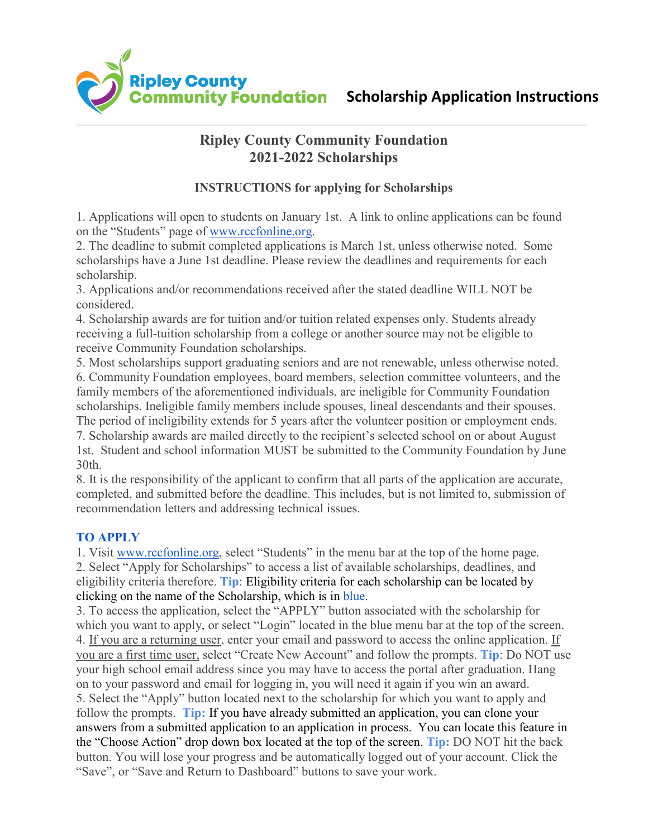

# **Ripley County Community Foundation 2021-2022 Scholarships**

## **INSTRUCTIONS for applying for Scholarships**

1. Applications will open to students on January 1st. A link to online applications can be found on the "Students" page of [www.rccfonline.org.](http://www.rccfonline.org/)

2. The deadline to submit completed applications is March 1st, unless otherwise noted. Some scholarships have a June 1st deadline. Please review the deadlines and requirements for each scholarship.

3. Applications and/or recommendations received after the stated deadline WILL NOT be considered.

4. Scholarship awards are for tuition and/or tuition related expenses only. Students already receiving a full-tuition scholarship from a college or another source may not be eligible to receive Community Foundation scholarships.

5. Most scholarships support graduating seniors and are not renewable, unless otherwise noted. 6. Community Foundation employees, board members, selection committee volunteers, and the family members of the aforementioned individuals, are ineligible for Community Foundation scholarships. Ineligible family members include spouses, lineal descendants and their spouses. The period of ineligibility extends for 5 years after the volunteer position or employment ends. 7. Scholarship awards are mailed directly to the recipient's selected school on or about August 1st. Student and school information MUST be submitted to the Community Foundation by June 30th.

8. It is the responsibility of the applicant to confirm that all parts of the application are accurate, completed, and submitted before the deadline. This includes, but is not limited to, submission of recommendation letters and addressing technical issues.

## **TO APPLY**

1. Visit [www.rccfonline.org,](http://www.rccfonline.org/) select "Students" in the menu bar at the top of the home page. 2. Select "Apply for Scholarships" to access a list of available scholarships, deadlines, and eligibility criteria therefore. **Tip**: Eligibility criteria for each scholarship can be located by clicking on the name of the Scholarship, which is in blue.

3. To access the application, select the "APPLY" button associated with the scholarship for which you want to apply, or select "Login" located in the blue menu bar at the top of the screen. 4. If you are a returning user, enter your email and password to access the online application. If you are a first time user, select "Create New Account" and follow the prompts. **Tip**: Do NOT use your high school email address since you may have to access the portal after graduation. Hang on to your password and email for logging in, you will need it again if you win an award. 5. Select the "Apply" button located next to the scholarship for which you want to apply and follow the prompts. **Tip:** If you have already submitted an application, you can clone your answers from a submitted application to an application in process. You can locate this feature in the "Choose Action" drop down box located at the top of the screen. **Tip:** DO NOT hit the back button. You will lose your progress and be automatically logged out of your account. Click the "Save", or "Save and Return to Dashboard" buttons to save your work.